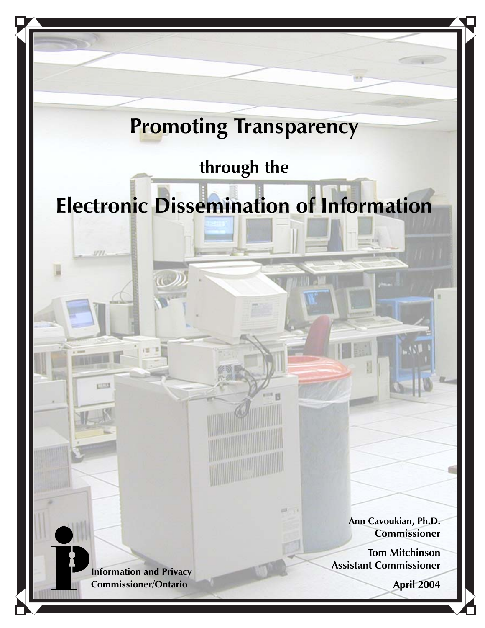# **Promoting Transparency**

# **through the**

# **Electronic Dissemination of Information**

**Information and Privacy Commissioner/Ontario**

971

**CESS** 

**Ann Cavoukian, Ph.D. Commissioner**

**Tom Mitchinson Assistant Commissioner**

**April 2004**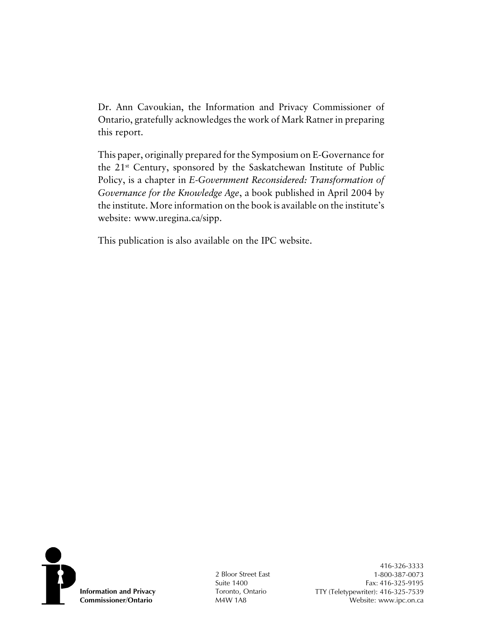Dr. Ann Cavoukian, the Information and Privacy Commissioner of Ontario, gratefully acknowledges the work of Mark Ratner in preparing this report.

This paper, originally prepared for the Symposium on E-Governance for the 21st Century, sponsored by the Saskatchewan Institute of Public Policy, is a chapter in *E-Government Reconsidered: Transformation of Governance for the Knowledge Age*, a book published in April 2004 by the institute. More information on the book is available on the institute's website: www.uregina.ca/sipp.

This publication is also available on the IPC website.



2 Bloor Street East Suite 1400 Toronto, Ontario M4W 1A8

416-326-3333 1-800-387-0073 Fax: 416-325-9195 TTY (Teletypewriter): 416-325-7539 Website: www.ipc.on.ca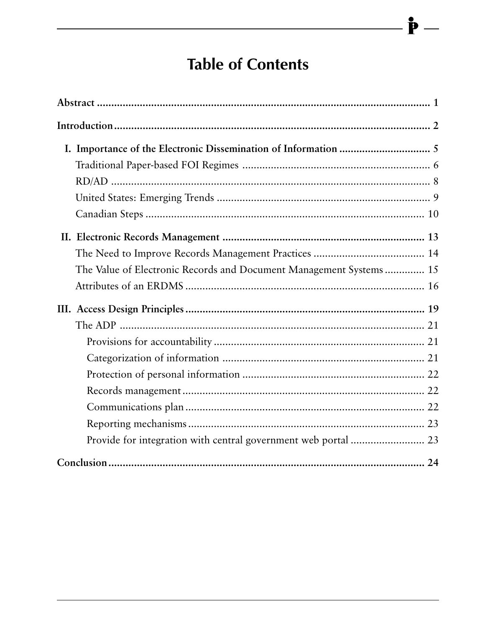# **Table of Contents**

 $\mathbf{\dot{P}}$  –

| The Value of Electronic Records and Document Management Systems 15 |  |
|--------------------------------------------------------------------|--|
|                                                                    |  |
|                                                                    |  |
|                                                                    |  |
|                                                                    |  |
|                                                                    |  |
|                                                                    |  |
|                                                                    |  |
|                                                                    |  |
|                                                                    |  |
|                                                                    |  |
|                                                                    |  |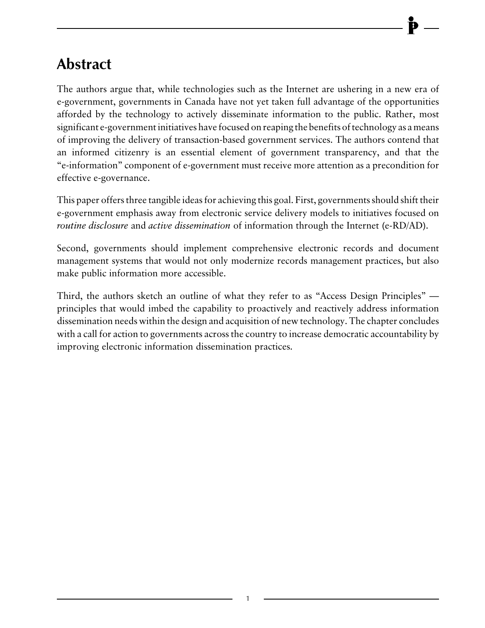# <span id="page-3-0"></span>**Abstract**

The authors argue that, while technologies such as the Internet are ushering in a new era of e-government, governments in Canada have not yet taken full advantage of the opportunities afforded by the technology to actively disseminate information to the public. Rather, most significant e-government initiatives have focused on reaping the benefits of technology as a means of improving the delivery of transaction-based government services. The authors contend that an informed citizenry is an essential element of government transparency, and that the "e-information" component of e-government must receive more attention as a precondition for effective e-governance.

This paper offers three tangible ideas for achieving this goal. First, governments should shift their e-government emphasis away from electronic service delivery models to initiatives focused on *routine disclosure* and *active dissemination* of information through the Internet (e-RD/AD).

Second, governments should implement comprehensive electronic records and document management systems that would not only modernize records management practices, but also make public information more accessible.

Third, the authors sketch an outline of what they refer to as "Access Design Principles" principles that would imbed the capability to proactively and reactively address information dissemination needs within the design and acquisition of new technology. The chapter concludes with a call for action to governments across the country to increase democratic accountability by improving electronic information dissemination practices.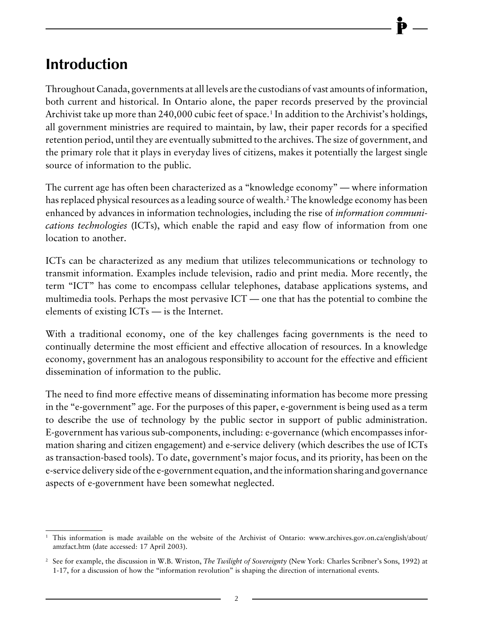# <span id="page-4-0"></span>**Introduction**

Throughout Canada, governments at all levels are the custodians of vast amounts of information, both current and historical. In Ontario alone, the paper records preserved by the provincial Archivist take up more than 240,000 cubic feet of space.<sup>1</sup> In addition to the Archivist's holdings, all government ministries are required to maintain, by law, their paper records for a specified retention period, until they are eventually submitted to the archives. The size of government, and the primary role that it plays in everyday lives of citizens, makes it potentially the largest single source of information to the public.

The current age has often been characterized as a "knowledge economy" — where information has replaced physical resources as a leading source of wealth.2 The knowledge economy has been enhanced by advances in information technologies, including the rise of *information communications technologies* (ICTs), which enable the rapid and easy flow of information from one location to another.

ICTs can be characterized as any medium that utilizes telecommunications or technology to transmit information. Examples include television, radio and print media. More recently, the term "ICT" has come to encompass cellular telephones, database applications systems, and multimedia tools. Perhaps the most pervasive ICT — one that has the potential to combine the elements of existing ICTs — is the Internet.

With a traditional economy, one of the key challenges facing governments is the need to continually determine the most efficient and effective allocation of resources. In a knowledge economy, government has an analogous responsibility to account for the effective and efficient dissemination of information to the public.

The need to find more effective means of disseminating information has become more pressing in the "e-government" age. For the purposes of this paper, e-government is being used as a term to describe the use of technology by the public sector in support of public administration. E-government has various sub-components, including: e-governance (which encompasses information sharing and citizen engagement) and e-service delivery (which describes the use of ICTs as transaction-based tools). To date, government's major focus, and its priority, has been on the e-service delivery side of the e-government equation, and the information sharing and governance aspects of e-government have been somewhat neglected.

<sup>&</sup>lt;sup>1</sup> This information is made available on the website of the Archivist of Ontario: www.archives.gov.on.ca/english/about/ amzfact.htm (date accessed: 17 April 2003).

<sup>2</sup> See for example, the discussion in W.B. Wriston, *The Twilight of Sovereignty* (New York: Charles Scribner's Sons, 1992) at 1-17, for a discussion of how the "information revolution" is shaping the direction of international events.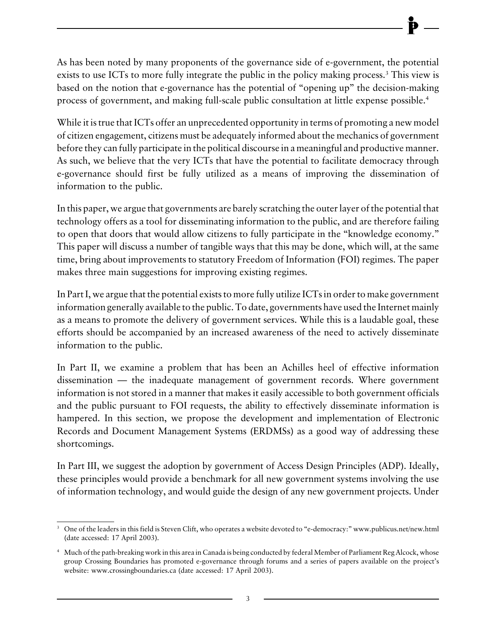As has been noted by many proponents of the governance side of e-government, the potential exists to use ICTs to more fully integrate the public in the policy making process.<sup>3</sup> This view is based on the notion that e-governance has the potential of "opening up" the decision-making process of government, and making full-scale public consultation at little expense possible.4

While it is true that ICTs offer an unprecedented opportunity in terms of promoting a new model of citizen engagement, citizens must be adequately informed about the mechanics of government before they can fully participate in the political discourse in a meaningful and productive manner. As such, we believe that the very ICTs that have the potential to facilitate democracy through e-governance should first be fully utilized as a means of improving the dissemination of information to the public.

In this paper, we argue that governments are barely scratching the outer layer of the potential that technology offers as a tool for disseminating information to the public, and are therefore failing to open that doors that would allow citizens to fully participate in the "knowledge economy." This paper will discuss a number of tangible ways that this may be done, which will, at the same time, bring about improvements to statutory Freedom of Information (FOI) regimes. The paper makes three main suggestions for improving existing regimes.

In Part I, we argue that the potential exists to more fully utilize ICTs in order to make government information generally available to the public. To date, governments have used the Internet mainly as a means to promote the delivery of government services. While this is a laudable goal, these efforts should be accompanied by an increased awareness of the need to actively disseminate information to the public.

In Part II, we examine a problem that has been an Achilles heel of effective information dissemination — the inadequate management of government records. Where government information is not stored in a manner that makes it easily accessible to both government officials and the public pursuant to FOI requests, the ability to effectively disseminate information is hampered. In this section, we propose the development and implementation of Electronic Records and Document Management Systems (ERDMSs) as a good way of addressing these shortcomings.

In Part III, we suggest the adoption by government of Access Design Principles (ADP). Ideally, these principles would provide a benchmark for all new government systems involving the use of information technology, and would guide the design of any new government projects. Under

<sup>3</sup> One of the leaders in this field is Steven Clift, who operates a website devoted to "e-democracy:" www.publicus.net/new.html (date accessed: 17 April 2003).

<sup>4</sup> Much of the path-breaking work in this area in Canada is being conducted by federal Member of Parliament Reg Alcock, whose group Crossing Boundaries has promoted e-governance through forums and a series of papers available on the project's website: www.crossingboundaries.ca (date accessed: 17 April 2003).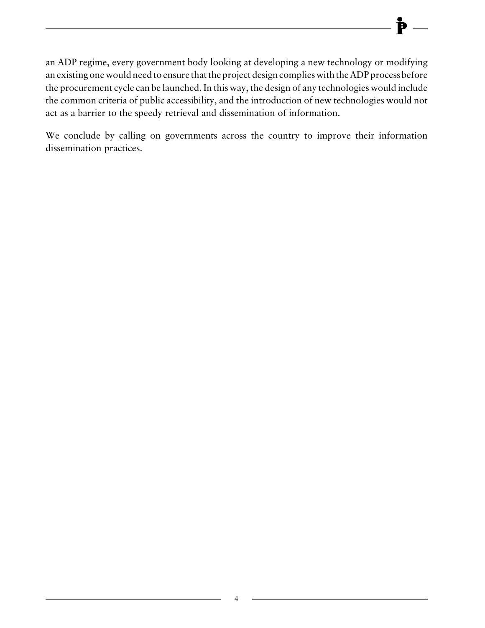an ADP regime, every government body looking at developing a new technology or modifying an existing one would need to ensure that the project design complies with the ADP process before the procurement cycle can be launched. In this way, the design of any technologies would include the common criteria of public accessibility, and the introduction of new technologies would not act as a barrier to the speedy retrieval and dissemination of information.

We conclude by calling on governments across the country to improve their information dissemination practices.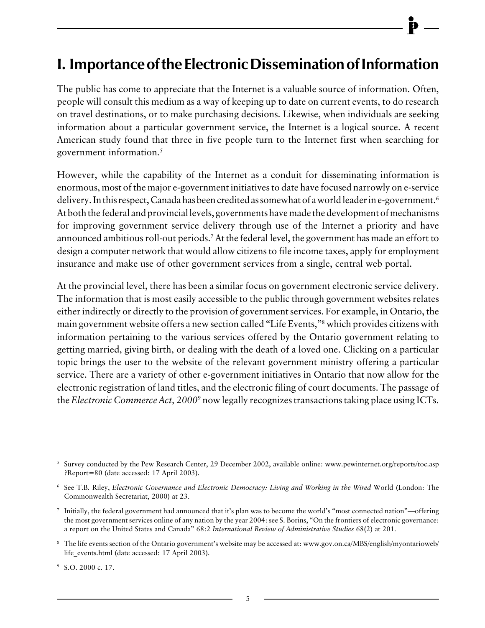## <span id="page-7-0"></span>**I. Importance of the Electronic Dissemination of Information**

The public has come to appreciate that the Internet is a valuable source of information. Often, people will consult this medium as a way of keeping up to date on current events, to do research on travel destinations, or to make purchasing decisions. Likewise, when individuals are seeking information about a particular government service, the Internet is a logical source. A recent American study found that three in five people turn to the Internet first when searching for government information.5

However, while the capability of the Internet as a conduit for disseminating information is enormous, most of the major e-government initiatives to date have focused narrowly on e-service delivery. In this respect, Canada has been credited as somewhat of a world leader in e-government.6 At both the federal and provincial levels, governments have made the development of mechanisms for improving government service delivery through use of the Internet a priority and have announced ambitious roll-out periods.7 At the federal level, the government has made an effort to design a computer network that would allow citizens to file income taxes, apply for employment insurance and make use of other government services from a single, central web portal.

At the provincial level, there has been a similar focus on government electronic service delivery. The information that is most easily accessible to the public through government websites relates either indirectly or directly to the provision of government services. For example, in Ontario, the main government website offers a new section called "Life Events,"8 which provides citizens with information pertaining to the various services offered by the Ontario government relating to getting married, giving birth, or dealing with the death of a loved one. Clicking on a particular topic brings the user to the website of the relevant government ministry offering a particular service. There are a variety of other e-government initiatives in Ontario that now allow for the electronic registration of land titles, and the electronic filing of court documents. The passage of the *Electronic Commerce Act, 2000*<sup>9</sup> now legally recognizes transactions taking place using ICTs.

<sup>5</sup> Survey conducted by the Pew Research Center, 29 December 2002, available online: www.pewinternet.org/reports/toc.asp ?Report=80 (date accessed: 17 April 2003).

<sup>6</sup> See T.B. Riley, *Electronic Governance and Electronic Democracy: Living and Working in the Wired* World (London: The Commonwealth Secretariat, 2000) at 23.

 $\frac{7}{1}$  Initially, the federal government had announced that it's plan was to become the world's "most connected nation"—offering the most government services online of any nation by the year 2004: see S. Borins, "On the frontiers of electronic governance: a report on the United States and Canada" 68:2 *International Review of Administrative Studies* 68(2) at 201.

<sup>8</sup> The life events section of the Ontario government's website may be accessed at: www.gov.on.ca/MBS/english/myontarioweb/ life\_events.html (date accessed: 17 April 2003).

<sup>9</sup> S.O. 2000 c. 17.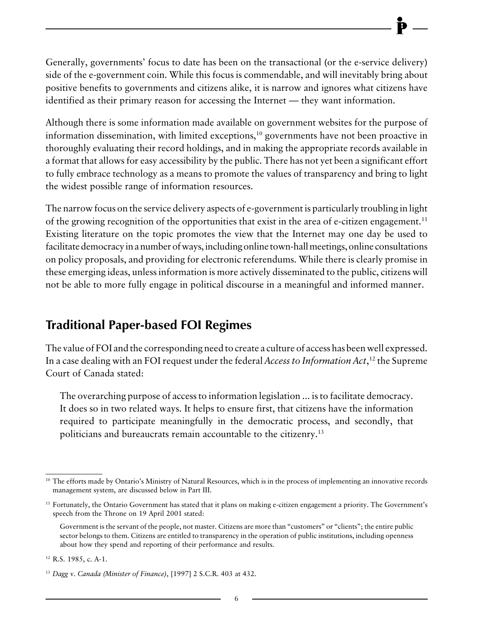<span id="page-8-0"></span>Generally, governments' focus to date has been on the transactional (or the e-service delivery) side of the e-government coin. While this focus is commendable, and will inevitably bring about positive benefits to governments and citizens alike, it is narrow and ignores what citizens have identified as their primary reason for accessing the Internet — they want information.

Although there is some information made available on government websites for the purpose of information dissemination, with limited exceptions,<sup>10</sup> governments have not been proactive in thoroughly evaluating their record holdings, and in making the appropriate records available in a format that allows for easy accessibility by the public. There has not yet been a significant effort to fully embrace technology as a means to promote the values of transparency and bring to light the widest possible range of information resources.

The narrow focus on the service delivery aspects of e-government is particularly troubling in light of the growing recognition of the opportunities that exist in the area of e-citizen engagement.<sup>11</sup> Existing literature on the topic promotes the view that the Internet may one day be used to facilitate democracy in a number of ways, including online town-hall meetings, online consultations on policy proposals, and providing for electronic referendums. While there is clearly promise in these emerging ideas, unless information is more actively disseminated to the public, citizens will not be able to more fully engage in political discourse in a meaningful and informed manner.

## **Traditional Paper-based FOI Regimes**

The value of FOI and the corresponding need to create a culture of access has been well expressed. In a case dealing with an FOI request under the federal *Access to Information Act*, 12 the Supreme Court of Canada stated:

The overarching purpose of access to information legislation ... is to facilitate democracy. It does so in two related ways. It helps to ensure first, that citizens have the information required to participate meaningfully in the democratic process, and secondly, that politicians and bureaucrats remain accountable to the citizenry.13

<sup>&</sup>lt;sup>10</sup> The efforts made by Ontario's Ministry of Natural Resources, which is in the process of implementing an innovative records management system, are discussed below in Part III.

<sup>&</sup>lt;sup>11</sup> Fortunately, the Ontario Government has stated that it plans on making e-citizen engagement a priority. The Government's speech from the Throne on 19 April 2001 stated:

Government is the servant of the people, not master. Citizens are more than "customers" or "clients"; the entire public sector belongs to them. Citizens are entitled to transparency in the operation of public institutions, including openness about how they spend and reporting of their performance and results.

<sup>12</sup> R.S. 1985, c. A-1.

<sup>13</sup> *Dagg* v. *Canada (Minister of Finance)*, [1997] 2 S.C.R. 403 at 432.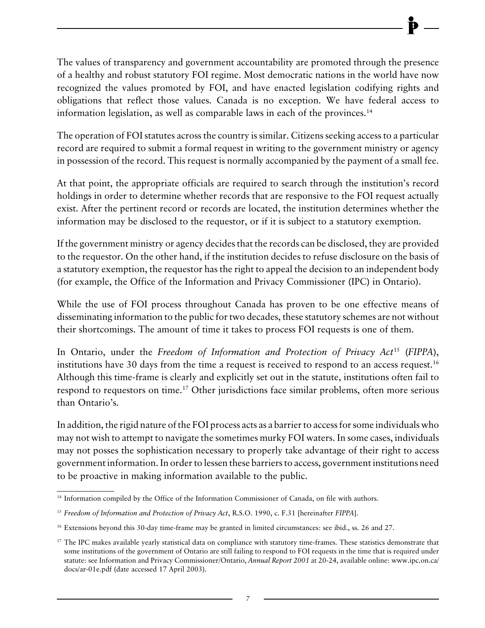The values of transparency and government accountability are promoted through the presence of a healthy and robust statutory FOI regime. Most democratic nations in the world have now recognized the values promoted by FOI, and have enacted legislation codifying rights and obligations that reflect those values. Canada is no exception. We have federal access to information legislation, as well as comparable laws in each of the provinces.14

The operation of FOI statutes across the country is similar. Citizens seeking access to a particular record are required to submit a formal request in writing to the government ministry or agency in possession of the record. This request is normally accompanied by the payment of a small fee.

At that point, the appropriate officials are required to search through the institution's record holdings in order to determine whether records that are responsive to the FOI request actually exist. After the pertinent record or records are located, the institution determines whether the information may be disclosed to the requestor, or if it is subject to a statutory exemption.

If the government ministry or agency decides that the records can be disclosed, they are provided to the requestor. On the other hand, if the institution decides to refuse disclosure on the basis of a statutory exemption, the requestor has the right to appeal the decision to an independent body (for example, the Office of the Information and Privacy Commissioner (IPC) in Ontario).

While the use of FOI process throughout Canada has proven to be one effective means of disseminating information to the public for two decades, these statutory schemes are not without their shortcomings. The amount of time it takes to process FOI requests is one of them.

In Ontario, under the *Freedom of Information and Protection of Privacy Act*15 (*FIPPA*), institutions have 30 days from the time a request is received to respond to an access request.<sup>16</sup> Although this time-frame is clearly and explicitly set out in the statute, institutions often fail to respond to requestors on time.<sup>17</sup> Other jurisdictions face similar problems, often more serious than Ontario's.

In addition, the rigid nature of the FOI process acts as a barrier to access for some individuals who may not wish to attempt to navigate the sometimes murky FOI waters. In some cases, individuals may not posses the sophistication necessary to properly take advantage of their right to access government information. In order to lessen these barriers to access, government institutions need to be proactive in making information available to the public.

<sup>&</sup>lt;sup>14</sup> Information compiled by the Office of the Information Commissioner of Canada, on file with authors.

<sup>15</sup> *Freedom of Information and Protection of Privacy Act*, R.S.O. 1990, c. F.31 [hereinafter *FIPPA*].

<sup>16</sup> Extensions beyond this 30-day time-frame may be granted in limited circumstances: see ibid., ss. 26 and 27.

<sup>&</sup>lt;sup>17</sup> The IPC makes available yearly statistical data on compliance with statutory time-frames. These statistics demonstrate that some institutions of the government of Ontario are still failing to respond to FOI requests in the time that is required under statute: see Information and Privacy Commissioner/Ontario, *Annual Report 2001* at 20-24, available online: www.ipc.on.ca/ docs/ar-01e.pdf (date accessed 17 April 2003).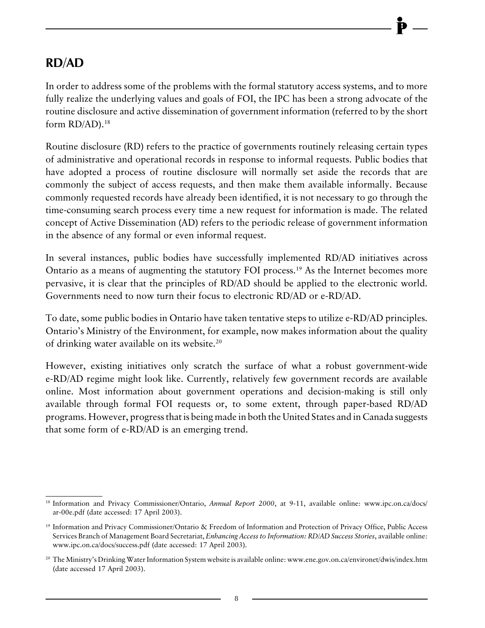### <span id="page-10-0"></span>**RD/AD**

In order to address some of the problems with the formal statutory access systems, and to more fully realize the underlying values and goals of FOI, the IPC has been a strong advocate of the routine disclosure and active dissemination of government information (referred to by the short form RD/AD).<sup>18</sup>

Routine disclosure (RD) refers to the practice of governments routinely releasing certain types of administrative and operational records in response to informal requests. Public bodies that have adopted a process of routine disclosure will normally set aside the records that are commonly the subject of access requests, and then make them available informally. Because commonly requested records have already been identified, it is not necessary to go through the time-consuming search process every time a new request for information is made. The related concept of Active Dissemination (AD) refers to the periodic release of government information in the absence of any formal or even informal request.

In several instances, public bodies have successfully implemented RD/AD initiatives across Ontario as a means of augmenting the statutory FOI process.<sup>19</sup> As the Internet becomes more pervasive, it is clear that the principles of RD/AD should be applied to the electronic world. Governments need to now turn their focus to electronic RD/AD or e-RD/AD.

To date, some public bodies in Ontario have taken tentative steps to utilize e-RD/AD principles. Ontario's Ministry of the Environment, for example, now makes information about the quality of drinking water available on its website.20

However, existing initiatives only scratch the surface of what a robust government-wide e-RD/AD regime might look like. Currently, relatively few government records are available online. Most information about government operations and decision-making is still only available through formal FOI requests or, to some extent, through paper-based RD/AD programs. However, progress that is being made in both the United States and in Canada suggests that some form of e-RD/AD is an emerging trend.

<sup>&</sup>lt;sup>18</sup> Information and Privacy Commissioner/Ontario, *Annual Report 2000*, at 9-11, available online: www.ipc.on.ca/docs/ ar-00e.pdf (date accessed: 17 April 2003).

<sup>19</sup> Information and Privacy Commissioner/Ontario & Freedom of Information and Protection of Privacy Office, Public Access Services Branch of Management Board Secretariat, *Enhancing Access to Information: RD/AD Success Stories*, available online: www.ipc.on.ca/docs/success.pdf (date accessed: 17 April 2003).

<sup>&</sup>lt;sup>20</sup> The Ministry's Drinking Water Information System website is available online: www.ene.gov.on.ca/environet/dwis/index.htm (date accessed 17 April 2003).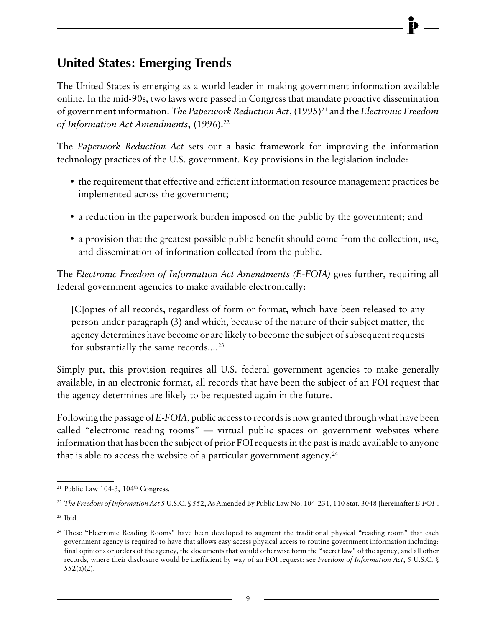## <span id="page-11-0"></span>**United States: Emerging Trends**

The United States is emerging as a world leader in making government information available online. In the mid-90s, two laws were passed in Congress that mandate proactive dissemination of government information: *The Paperwork Reduction Act*, (1995)<sup>21</sup> and the *Electronic Freedom* of Information Act Amendments, (1996).<sup>22</sup>

The *Paperwork Reduction Act* sets out a basic framework for improving the information technology practices of the U.S. government. Key provisions in the legislation include:

- the requirement that effective and efficient information resource management practices be implemented across the government;
- a reduction in the paperwork burden imposed on the public by the government; and
- a provision that the greatest possible public benefit should come from the collection, use, and dissemination of information collected from the public.

The *Electronic Freedom of Information Act Amendments (E-FOIA)* goes further, requiring all federal government agencies to make available electronically:

[C]opies of all records, regardless of form or format, which have been released to any person under paragraph (3) and which, because of the nature of their subject matter, the agency determines have become or are likely to become the subject of subsequent requests for substantially the same records....<sup>23</sup>

Simply put, this provision requires all U.S. federal government agencies to make generally available, in an electronic format, all records that have been the subject of an FOI request that the agency determines are likely to be requested again in the future.

Following the passage of *E-FOIA*, public access to records is now granted through what have been called "electronic reading rooms" — virtual public spaces on government websites where information that has been the subject of prior FOI requests in the past is made available to anyone that is able to access the website of a particular government agency.<sup>24</sup>

<sup>&</sup>lt;sup>21</sup> Public Law 104-3, 104<sup>th</sup> Congress.

<sup>22</sup> *The Freedom of Information Act* 5 U.S.C. § 552, As Amended By Public Law No. 104-231, 110 Stat. 3048 [hereinafter *E-FOI*].

 $23$  Ibid.

<sup>&</sup>lt;sup>24</sup> These "Electronic Reading Rooms" have been developed to augment the traditional physical "reading room" that each government agency is required to have that allows easy access physical access to routine government information including: final opinions or orders of the agency, the documents that would otherwise form the "secret law" of the agency, and all other records, where their disclosure would be inefficient by way of an FOI request: see *Freedom of Information Act*, 5 U.S.C. § 552(a)(2).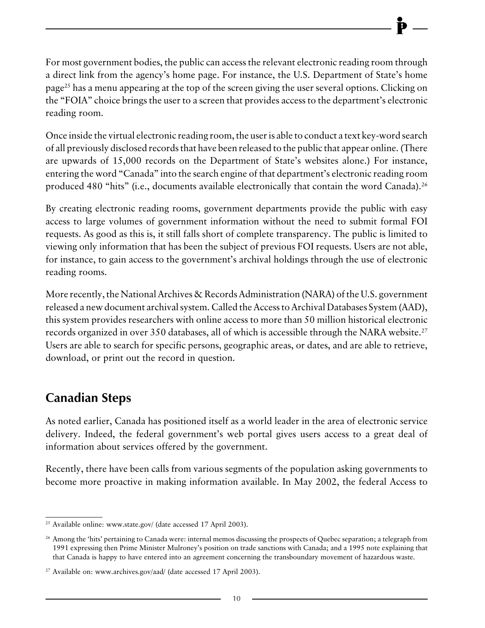<span id="page-12-0"></span>For most government bodies, the public can access the relevant electronic reading room through a direct link from the agency's home page. For instance, the U.S. Department of State's home page25 has a menu appearing at the top of the screen giving the user several options. Clicking on the "FOIA" choice brings the user to a screen that provides access to the department's electronic reading room.

Once inside the virtual electronic reading room, the user is able to conduct a text key-word search of all previously disclosed records that have been released to the public that appear online. (There are upwards of 15,000 records on the Department of State's websites alone.) For instance, entering the word "Canada" into the search engine of that department's electronic reading room produced 480 "hits" (i.e., documents available electronically that contain the word Canada).<sup>26</sup>

By creating electronic reading rooms, government departments provide the public with easy access to large volumes of government information without the need to submit formal FOI requests. As good as this is, it still falls short of complete transparency. The public is limited to viewing only information that has been the subject of previous FOI requests. Users are not able, for instance, to gain access to the government's archival holdings through the use of electronic reading rooms.

More recently, the National Archives & Records Administration (NARA) of the U.S. government released a new document archival system. Called the Access to Archival Databases System (AAD), this system provides researchers with online access to more than 50 million historical electronic records organized in over 350 databases, all of which is accessible through the NARA website.<sup>27</sup> Users are able to search for specific persons, geographic areas, or dates, and are able to retrieve, download, or print out the record in question.

## **Canadian Steps**

As noted earlier, Canada has positioned itself as a world leader in the area of electronic service delivery. Indeed, the federal government's web portal gives users access to a great deal of information about services offered by the government.

Recently, there have been calls from various segments of the population asking governments to become more proactive in making information available. In May 2002, the federal Access to

<sup>&</sup>lt;sup>25</sup> Available online: www.state.gov/ (date accessed 17 April 2003).

<sup>&</sup>lt;sup>26</sup> Among the 'hits' pertaining to Canada were: internal memos discussing the prospects of Quebec separation; a telegraph from 1991 expressing then Prime Minister Mulroney's position on trade sanctions with Canada; and a 1995 note explaining that that Canada is happy to have entered into an agreement concerning the transboundary movement of hazardous waste.

<sup>&</sup>lt;sup>27</sup> Available on: www.archives.gov/aad/ (date accessed 17 April 2003).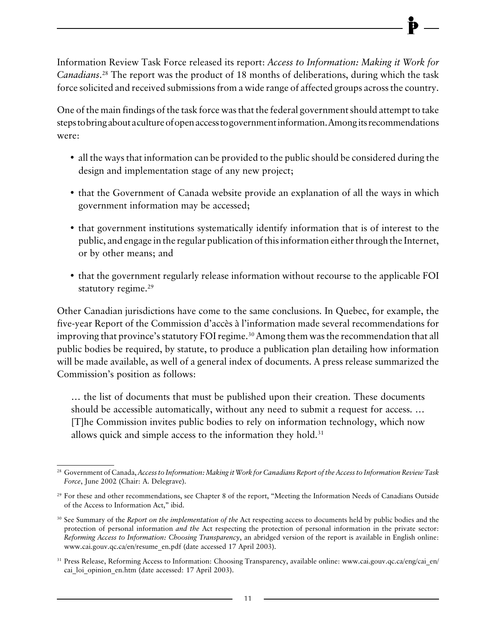Information Review Task Force released its report: *Access to Information: Making it Work for Canadians*. 28 The report was the product of 18 months of deliberations, during which the task force solicited and received submissions from a wide range of affected groups across the country.

One of the main findings of the task force was that the federal government should attempt to take steps to bring about a culture of open access to government information. Among its recommendations were:

- all the ways that information can be provided to the public should be considered during the design and implementation stage of any new project;
- that the Government of Canada website provide an explanation of all the ways in which government information may be accessed;
- that government institutions systematically identify information that is of interest to the public, and engage in the regular publication of this information either through the Internet, or by other means; and
- that the government regularly release information without recourse to the applicable FOI statutory regime.<sup>29</sup>

Other Canadian jurisdictions have come to the same conclusions. In Quebec, for example, the five-year Report of the Commission d'accès à l'information made several recommendations for improving that province's statutory FOI regime.<sup>30</sup> Among them was the recommendation that all public bodies be required, by statute, to produce a publication plan detailing how information will be made available, as well of a general index of documents. A press release summarized the Commission's position as follows:

… the list of documents that must be published upon their creation. These documents should be accessible automatically, without any need to submit a request for access. … [T]he Commission invites public bodies to rely on information technology, which now allows quick and simple access to the information they hold. $31$ 

<sup>28</sup> Government of Canada, *Access to Information: Making it Work for Canadians Report of the Access to Information Review Task Force*, June 2002 (Chair: A. Delegrave).

<sup>&</sup>lt;sup>29</sup> For these and other recommendations, see Chapter 8 of the report, "Meeting the Information Needs of Canadians Outside of the Access to Information Act," ibid.

<sup>30</sup> See Summary of the *Report on the implementation of the* Act respecting access to documents held by public bodies and the protection of personal information *and the* Act respecting the protection of personal information in the private sector: *Reforming Access to Information: Choosing Transparency*, an abridged version of the report is available in English online: www.cai.gouv.qc.ca/en/resume\_en.pdf (date accessed 17 April 2003).

<sup>&</sup>lt;sup>31</sup> Press Release, Reforming Access to Information: Choosing Transparency, available online: www.cai.gouv.qc.ca/eng/cai\_en/ cai loi opinion en.htm (date accessed: 17 April 2003).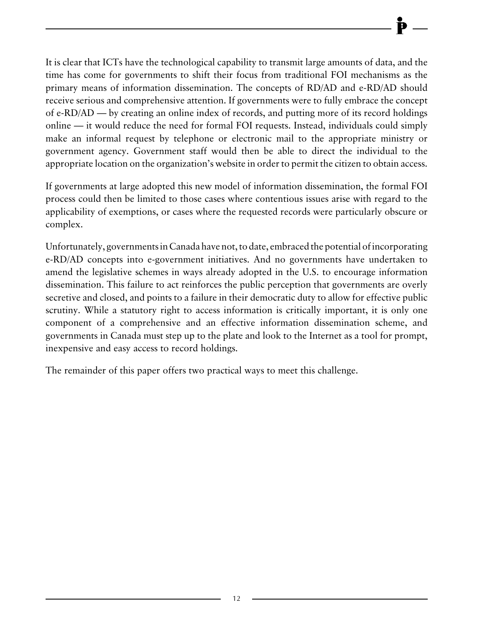It is clear that ICTs have the technological capability to transmit large amounts of data, and the time has come for governments to shift their focus from traditional FOI mechanisms as the primary means of information dissemination. The concepts of RD/AD and e-RD/AD should receive serious and comprehensive attention. If governments were to fully embrace the concept of e-RD/AD — by creating an online index of records, and putting more of its record holdings online — it would reduce the need for formal FOI requests. Instead, individuals could simply make an informal request by telephone or electronic mail to the appropriate ministry or government agency. Government staff would then be able to direct the individual to the appropriate location on the organization's website in order to permit the citizen to obtain access.

If governments at large adopted this new model of information dissemination, the formal FOI process could then be limited to those cases where contentious issues arise with regard to the applicability of exemptions, or cases where the requested records were particularly obscure or complex.

Unfortunately, governments in Canada have not, to date, embraced the potential of incorporating e-RD/AD concepts into e-government initiatives. And no governments have undertaken to amend the legislative schemes in ways already adopted in the U.S. to encourage information dissemination. This failure to act reinforces the public perception that governments are overly secretive and closed, and points to a failure in their democratic duty to allow for effective public scrutiny. While a statutory right to access information is critically important, it is only one component of a comprehensive and an effective information dissemination scheme, and governments in Canada must step up to the plate and look to the Internet as a tool for prompt, inexpensive and easy access to record holdings.

The remainder of this paper offers two practical ways to meet this challenge.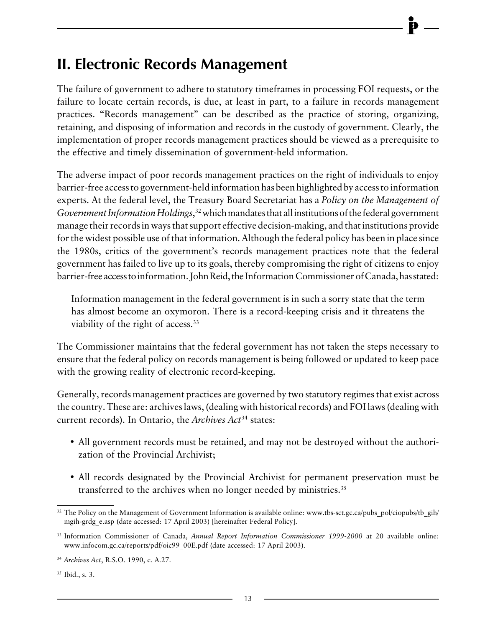# <span id="page-15-0"></span>**II. Electronic Records Management**

The failure of government to adhere to statutory timeframes in processing FOI requests, or the failure to locate certain records, is due, at least in part, to a failure in records management practices. "Records management" can be described as the practice of storing, organizing, retaining, and disposing of information and records in the custody of government. Clearly, the implementation of proper records management practices should be viewed as a prerequisite to the effective and timely dissemination of government-held information.

The adverse impact of poor records management practices on the right of individuals to enjoy barrier-free access to government-held information has been highlighted by access to information experts. At the federal level, the Treasury Board Secretariat has a *Policy on the Management of Government Information Holdings*, 32 which mandates that all institutions of the federal government manage their records in ways that support effective decision-making, and that institutions provide for the widest possible use of that information. Although the federal policy has been in place since the 1980s, critics of the government's records management practices note that the federal government has failed to live up to its goals, thereby compromising the right of citizens to enjoy barrier-free access to information. John Reid, the Information Commissioner of Canada, has stated:

Information management in the federal government is in such a sorry state that the term has almost become an oxymoron. There is a record-keeping crisis and it threatens the viability of the right of access.<sup>33</sup>

The Commissioner maintains that the federal government has not taken the steps necessary to ensure that the federal policy on records management is being followed or updated to keep pace with the growing reality of electronic record-keeping.

Generally, records management practices are governed by two statutory regimes that exist across the country. These are: archives laws, (dealing with historical records) and FOI laws (dealing with current records). In Ontario, the *Archives Act*34 states:

- All government records must be retained, and may not be destroyed without the authorization of the Provincial Archivist;
- All records designated by the Provincial Archivist for permanent preservation must be transferred to the archives when no longer needed by ministries.<sup>35</sup>

 $32$  The Policy on the Management of Government Information is available online: www.tbs-sct.gc.ca/pubs\_pol/ciopubs/tb\_gih/ mgih-grdg\_e.asp (date accessed: 17 April 2003) [hereinafter Federal Policy].

<sup>33</sup> Information Commissioner of Canada, *Annual Report Information Commissioner 1999-2000* at 20 available online: www.infocom.gc.ca/reports/pdf/oic99\_00E.pdf (date accessed: 17 April 2003).

<sup>34</sup> *Archives Act*, R.S.O. 1990, c. A.27.

<sup>&</sup>lt;sup>35</sup> Ibid., s. 3.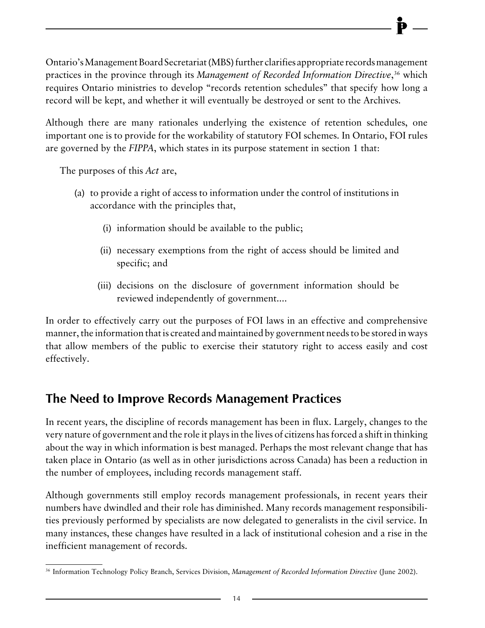<span id="page-16-0"></span>Ontario's Management Board Secretariat (MBS) further clarifies appropriate records management practices in the province through its *Management of Recorded Information Directive*, 36 which requires Ontario ministries to develop "records retention schedules" that specify how long a record will be kept, and whether it will eventually be destroyed or sent to the Archives.

Although there are many rationales underlying the existence of retention schedules, one important one is to provide for the workability of statutory FOI schemes. In Ontario, FOI rules are governed by the *FIPPA*, which states in its purpose statement in section 1 that:

The purposes of this *Act* are,

- (a) to provide a right of access to information under the control of institutions in accordance with the principles that,
	- (i) information should be available to the public;
	- (ii) necessary exemptions from the right of access should be limited and specific; and
	- (iii) decisions on the disclosure of government information should be reviewed independently of government....

In order to effectively carry out the purposes of FOI laws in an effective and comprehensive manner, the information that is created and maintained by government needs to be stored in ways that allow members of the public to exercise their statutory right to access easily and cost effectively.

## **The Need to Improve Records Management Practices**

In recent years, the discipline of records management has been in flux. Largely, changes to the very nature of government and the role it plays in the lives of citizens has forced a shift in thinking about the way in which information is best managed. Perhaps the most relevant change that has taken place in Ontario (as well as in other jurisdictions across Canada) has been a reduction in the number of employees, including records management staff.

Although governments still employ records management professionals, in recent years their numbers have dwindled and their role has diminished. Many records management responsibilities previously performed by specialists are now delegated to generalists in the civil service. In many instances, these changes have resulted in a lack of institutional cohesion and a rise in the inefficient management of records.

<sup>36</sup> Information Technology Policy Branch, Services Division, *Management of Recorded Information Directive* (June 2002).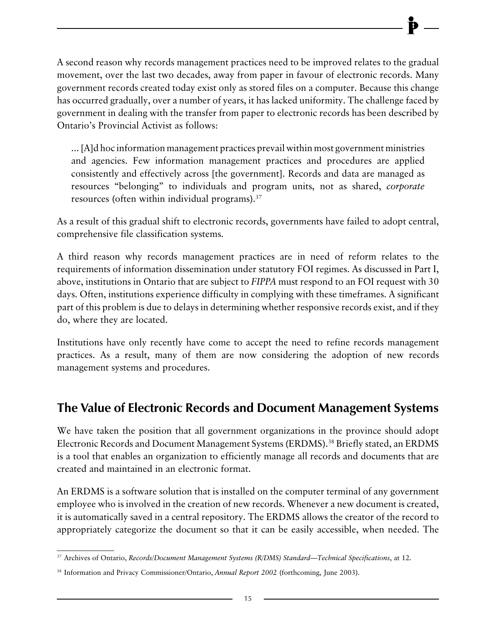<span id="page-17-0"></span>A second reason why records management practices need to be improved relates to the gradual movement, over the last two decades, away from paper in favour of electronic records. Many government records created today exist only as stored files on a computer. Because this change has occurred gradually, over a number of years, it has lacked uniformity. The challenge faced by government in dealing with the transfer from paper to electronic records has been described by Ontario's Provincial Activist as follows:

... [A]d hoc information management practices prevail within most government ministries and agencies. Few information management practices and procedures are applied consistently and effectively across [the government]. Records and data are managed as resources "belonging" to individuals and program units, not as shared, *corporate* resources (often within individual programs).37

As a result of this gradual shift to electronic records, governments have failed to adopt central, comprehensive file classification systems.

A third reason why records management practices are in need of reform relates to the requirements of information dissemination under statutory FOI regimes. As discussed in Part I, above, institutions in Ontario that are subject to *FIPPA* must respond to an FOI request with 30 days. Often, institutions experience difficulty in complying with these timeframes. A significant part of this problem is due to delays in determining whether responsive records exist, and if they do, where they are located.

Institutions have only recently have come to accept the need to refine records management practices. As a result, many of them are now considering the adoption of new records management systems and procedures.

## **The Value of Electronic Records and Document Management Systems**

We have taken the position that all government organizations in the province should adopt Electronic Records and Document Management Systems (ERDMS).38 Briefly stated, an ERDMS is a tool that enables an organization to efficiently manage all records and documents that are created and maintained in an electronic format.

An ERDMS is a software solution that is installed on the computer terminal of any government employee who is involved in the creation of new records. Whenever a new document is created, it is automatically saved in a central repository. The ERDMS allows the creator of the record to appropriately categorize the document so that it can be easily accessible, when needed. The

<sup>37</sup> Archives of Ontario, *Records/Document Management Systems (R/DMS) Standard—Technical Specifications*, at 12.

<sup>38</sup> Information and Privacy Commissioner/Ontario, *Annual Report 2002* (forthcoming, June 2003).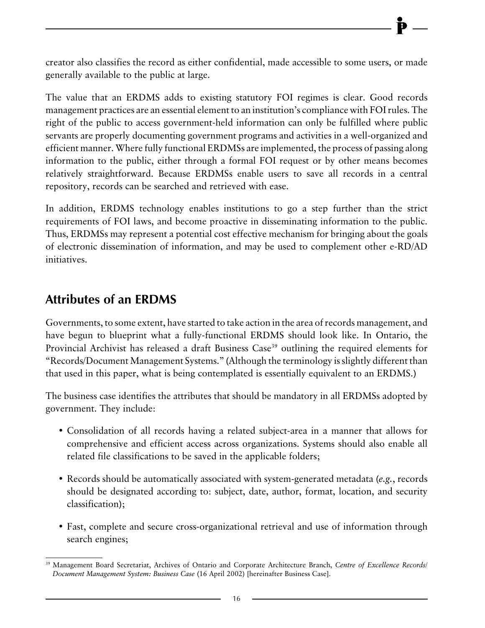<span id="page-18-0"></span>creator also classifies the record as either confidential, made accessible to some users, or made generally available to the public at large.

The value that an ERDMS adds to existing statutory FOI regimes is clear. Good records management practices are an essential element to an institution's compliance with FOI rules. The right of the public to access government-held information can only be fulfilled where public servants are properly documenting government programs and activities in a well-organized and efficient manner. Where fully functional ERDMSs are implemented, the process of passing along information to the public, either through a formal FOI request or by other means becomes relatively straightforward. Because ERDMSs enable users to save all records in a central repository, records can be searched and retrieved with ease.

In addition, ERDMS technology enables institutions to go a step further than the strict requirements of FOI laws, and become proactive in disseminating information to the public. Thus, ERDMSs may represent a potential cost effective mechanism for bringing about the goals of electronic dissemination of information, and may be used to complement other e-RD/AD initiatives.

## **Attributes of an ERDMS**

Governments, to some extent, have started to take action in the area of records management, and have begun to blueprint what a fully-functional ERDMS should look like. In Ontario, the Provincial Archivist has released a draft Business Case<sup>39</sup> outlining the required elements for "Records/Document Management Systems." (Although the terminology is slightly different than that used in this paper, what is being contemplated is essentially equivalent to an ERDMS.)

The business case identifies the attributes that should be mandatory in all ERDMSs adopted by government. They include:

- Consolidation of all records having a related subject-area in a manner that allows for comprehensive and efficient access across organizations. Systems should also enable all related file classifications to be saved in the applicable folders;
- Records should be automatically associated with system-generated metadata (*e.g.*, records should be designated according to: subject, date, author, format, location, and security classification);
- Fast, complete and secure cross-organizational retrieval and use of information through search engines;

<sup>39</sup> Management Board Secretariat, Archives of Ontario and Corporate Architecture Branch, *Centre of Excellence Records/ Document Management System: Business Case* (16 April 2002) [hereinafter Business Case].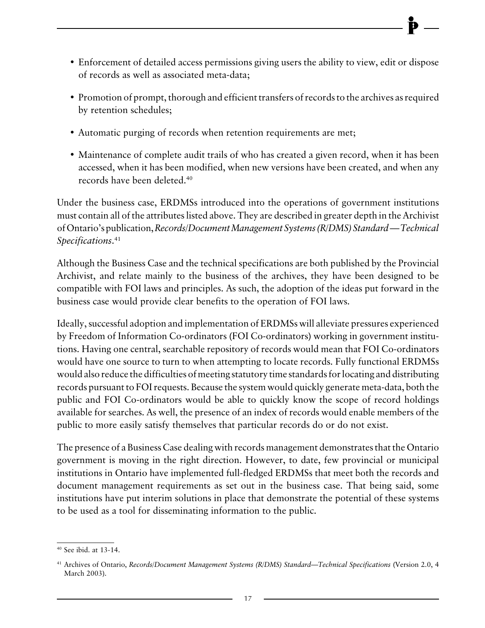- Enforcement of detailed access permissions giving users the ability to view, edit or dispose of records as well as associated meta-data;
- Promotion of prompt, thorough and efficient transfers of records to the archives as required by retention schedules;
- Automatic purging of records when retention requirements are met;
- Maintenance of complete audit trails of who has created a given record, when it has been accessed, when it has been modified, when new versions have been created, and when any records have been deleted.40

Under the business case, ERDMSs introduced into the operations of government institutions must contain all of the attributes listed above. They are described in greater depth in the Archivist of Ontario's publication, *Records/Document Management Systems (R/DMS) Standard — Technical Specifications*. 41

Although the Business Case and the technical specifications are both published by the Provincial Archivist, and relate mainly to the business of the archives, they have been designed to be compatible with FOI laws and principles. As such, the adoption of the ideas put forward in the business case would provide clear benefits to the operation of FOI laws.

Ideally, successful adoption and implementation of ERDMSs will alleviate pressures experienced by Freedom of Information Co-ordinators (FOI Co-ordinators) working in government institutions. Having one central, searchable repository of records would mean that FOI Co-ordinators would have one source to turn to when attempting to locate records. Fully functional ERDMSs would also reduce the difficulties of meeting statutory time standards for locating and distributing records pursuant to FOI requests. Because the system would quickly generate meta-data, both the public and FOI Co-ordinators would be able to quickly know the scope of record holdings available for searches. As well, the presence of an index of records would enable members of the public to more easily satisfy themselves that particular records do or do not exist.

The presence of a Business Case dealing with records management demonstrates that the Ontario government is moving in the right direction. However, to date, few provincial or municipal institutions in Ontario have implemented full-fledged ERDMSs that meet both the records and document management requirements as set out in the business case. That being said, some institutions have put interim solutions in place that demonstrate the potential of these systems to be used as a tool for disseminating information to the public.

<sup>40</sup> See ibid. at 13-14.

<sup>41</sup> Archives of Ontario, *Records/Document Management Systems (R/DMS) Standard—Technical Specifications* (Version 2.0, 4 March 2003).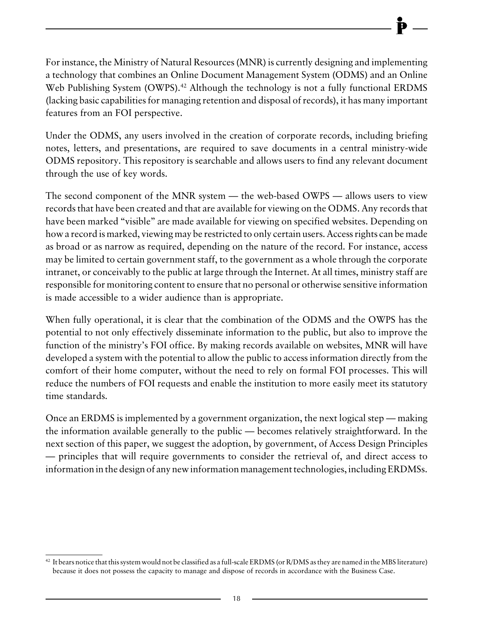For instance, the Ministry of Natural Resources (MNR) is currently designing and implementing a technology that combines an Online Document Management System (ODMS) and an Online Web Publishing System (OWPS).<sup>42</sup> Although the technology is not a fully functional ERDMS (lacking basic capabilities for managing retention and disposal of records), it has many important features from an FOI perspective.

Under the ODMS, any users involved in the creation of corporate records, including briefing notes, letters, and presentations, are required to save documents in a central ministry-wide ODMS repository. This repository is searchable and allows users to find any relevant document through the use of key words.

The second component of the MNR system — the web-based OWPS — allows users to view records that have been created and that are available for viewing on the ODMS. Any records that have been marked "visible" are made available for viewing on specified websites. Depending on how a record is marked, viewing may be restricted to only certain users. Access rights can be made as broad or as narrow as required, depending on the nature of the record. For instance, access may be limited to certain government staff, to the government as a whole through the corporate intranet, or conceivably to the public at large through the Internet. At all times, ministry staff are responsible for monitoring content to ensure that no personal or otherwise sensitive information is made accessible to a wider audience than is appropriate.

When fully operational, it is clear that the combination of the ODMS and the OWPS has the potential to not only effectively disseminate information to the public, but also to improve the function of the ministry's FOI office. By making records available on websites, MNR will have developed a system with the potential to allow the public to access information directly from the comfort of their home computer, without the need to rely on formal FOI processes. This will reduce the numbers of FOI requests and enable the institution to more easily meet its statutory time standards.

Once an ERDMS is implemented by a government organization, the next logical step — making the information available generally to the public — becomes relatively straightforward. In the next section of this paper, we suggest the adoption, by government, of Access Design Principles — principles that will require governments to consider the retrieval of, and direct access to information in the design of any new information management technologies, including ERDMSs.

<sup>&</sup>lt;sup>42</sup> It bears notice that this system would not be classified as a full-scale ERDMS (or R/DMS as they are named in the MBS literature) because it does not possess the capacity to manage and dispose of records in accordance with the Business Case.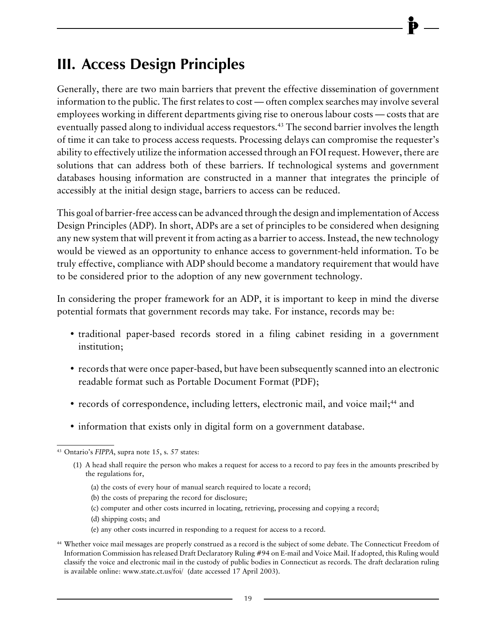# <span id="page-21-0"></span>**III. Access Design Principles**

Generally, there are two main barriers that prevent the effective dissemination of government information to the public. The first relates to cost — often complex searches may involve several employees working in different departments giving rise to onerous labour costs — costs that are eventually passed along to individual access requestors.<sup>43</sup> The second barrier involves the length of time it can take to process access requests. Processing delays can compromise the requester's ability to effectively utilize the information accessed through an FOI request. However, there are solutions that can address both of these barriers. If technological systems and government databases housing information are constructed in a manner that integrates the principle of accessibly at the initial design stage, barriers to access can be reduced.

This goal of barrier-free access can be advanced through the design and implementation of Access Design Principles (ADP). In short, ADPs are a set of principles to be considered when designing any new system that will prevent it from acting as a barrier to access. Instead, the new technology would be viewed as an opportunity to enhance access to government-held information. To be truly effective, compliance with ADP should become a mandatory requirement that would have to be considered prior to the adoption of any new government technology.

In considering the proper framework for an ADP, it is important to keep in mind the diverse potential formats that government records may take. For instance, records may be:

- traditional paper-based records stored in a filing cabinet residing in a government institution;
- records that were once paper-based, but have been subsequently scanned into an electronic readable format such as Portable Document Format (PDF);
- records of correspondence, including letters, electronic mail, and voice mail;<sup>44</sup> and
- information that exists only in digital form on a government database.

- (a) the costs of every hour of manual search required to locate a record;
- (b) the costs of preparing the record for disclosure;
- (c) computer and other costs incurred in locating, retrieving, processing and copying a record;
- (d) shipping costs; and
- (e) any other costs incurred in responding to a request for access to a record.

<sup>43</sup> Ontario's *FIPPA*, supra note 15, s. 57 states:

<sup>(1)</sup> A head shall require the person who makes a request for access to a record to pay fees in the amounts prescribed by the regulations for,

<sup>44</sup> Whether voice mail messages are properly construed as a record is the subject of some debate. The Connecticut Freedom of Information Commission has released Draft Declaratory Ruling #94 on E-mail and Voice Mail. If adopted, this Ruling would classify the voice and electronic mail in the custody of public bodies in Connecticut as records. The draft declaration ruling is available online: www.state.ct.us/foi/ (date accessed 17 April 2003).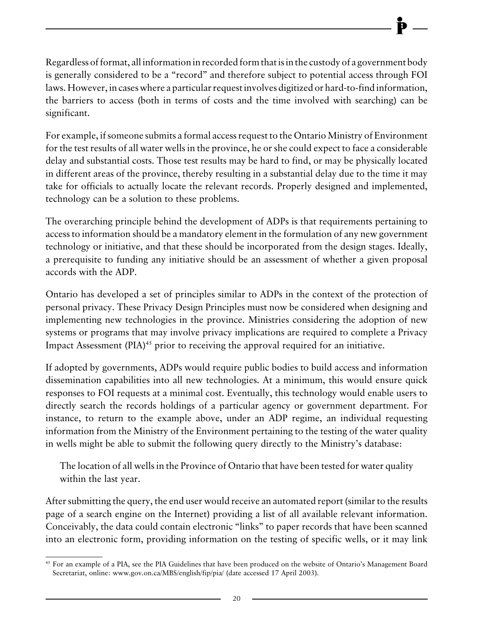Regardless of format, all information in recorded form that is in the custody of a government body is generally considered to be a "record" and therefore subject to potential access through FOI laws. However, in cases where a particular request involves digitized or hard-to-find information, the barriers to access (both in terms of costs and the time involved with searching) can be significant.

For example, if someone submits a formal access request to the Ontario Ministry of Environment for the test results of all water wells in the province, he or she could expect to face a considerable delay and substantial costs. Those test results may be hard to find, or may be physically located in different areas of the province, thereby resulting in a substantial delay due to the time it may take for officials to actually locate the relevant records. Properly designed and implemented, technology can be a solution to these problems.

The overarching principle behind the development of ADPs is that requirements pertaining to access to information should be a mandatory element in the formulation of any new government technology or initiative, and that these should be incorporated from the design stages. Ideally, a prerequisite to funding any initiative should be an assessment of whether a given proposal accords with the ADP.

Ontario has developed a set of principles similar to ADPs in the context of the protection of personal privacy. These Privacy Design Principles must now be considered when designing and implementing new technologies in the province. Ministries considering the adoption of new systems or programs that may involve privacy implications are required to complete a Privacy Impact Assessment (PIA)<sup>45</sup> prior to receiving the approval required for an initiative.

If adopted by governments, ADPs would require public bodies to build access and information dissemination capabilities into all new technologies. At a minimum, this would ensure quick responses to FOI requests at a minimal cost. Eventually, this technology would enable users to directly search the records holdings of a particular agency or government department. For instance, to return to the example above, under an ADP regime, an individual requesting information from the Ministry of the Environment pertaining to the testing of the water quality in wells might be able to submit the following query directly to the Ministry's database:

The location of all wells in the Province of Ontario that have been tested for water quality within the last year.

After submitting the query, the end user would receive an automated report (similar to the results page of a search engine on the Internet) providing a list of all available relevant information. Conceivably, the data could contain electronic "links" to paper records that have been scanned into an electronic form, providing information on the testing of specific wells, or it may link

<sup>45</sup> For an example of a PIA, see the PIA Guidelines that have been produced on the website of Ontario's Management Board Secretariat, online: www.gov.on.ca/MBS/english/fip/pia/ (date accessed 17 April 2003).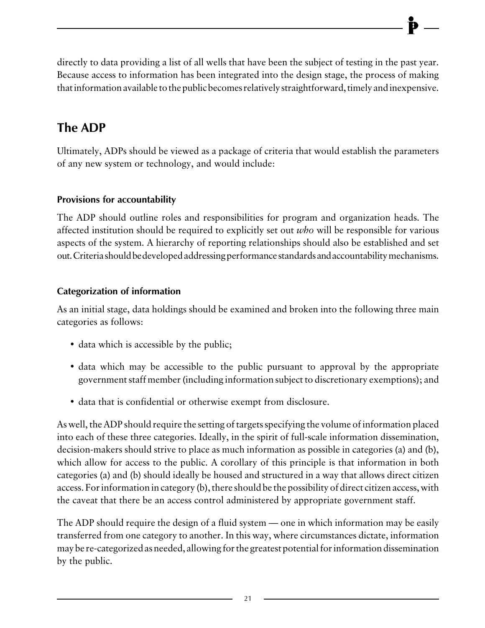<span id="page-23-0"></span>directly to data providing a list of all wells that have been the subject of testing in the past year. Because access to information has been integrated into the design stage, the process of making that information available to the public becomes relatively straightforward, timely and inexpensive.

## **The ADP**

Ultimately, ADPs should be viewed as a package of criteria that would establish the parameters of any new system or technology, and would include:

#### **Provisions for accountability**

The ADP should outline roles and responsibilities for program and organization heads. The affected institution should be required to explicitly set out *who* will be responsible for various aspects of the system. A hierarchy of reporting relationships should also be established and set out. Criteria should be developed addressing performance standards and accountability mechanisms.

#### **Categorization of information**

As an initial stage, data holdings should be examined and broken into the following three main categories as follows:

- data which is accessible by the public;
- data which may be accessible to the public pursuant to approval by the appropriate government staff member (including information subject to discretionary exemptions); and
- data that is confidential or otherwise exempt from disclosure.

As well, the ADP should require the setting of targets specifying the volume of information placed into each of these three categories. Ideally, in the spirit of full-scale information dissemination, decision-makers should strive to place as much information as possible in categories (a) and (b), which allow for access to the public. A corollary of this principle is that information in both categories (a) and (b) should ideally be housed and structured in a way that allows direct citizen access. For information in category (b), there should be the possibility of direct citizen access, with the caveat that there be an access control administered by appropriate government staff.

The ADP should require the design of a fluid system — one in which information may be easily transferred from one category to another. In this way, where circumstances dictate, information may be re-categorized as needed, allowing for the greatest potential for information dissemination by the public.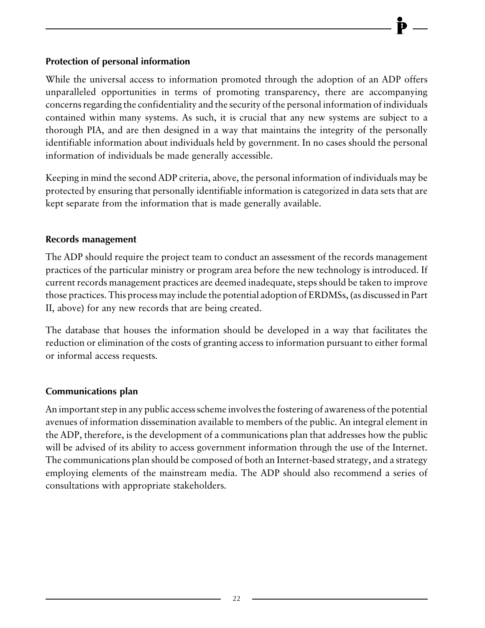#### <span id="page-24-0"></span>**Protection of personal information**

While the universal access to information promoted through the adoption of an ADP offers unparalleled opportunities in terms of promoting transparency, there are accompanying concerns regarding the confidentiality and the security of the personal information of individuals contained within many systems. As such, it is crucial that any new systems are subject to a thorough PIA, and are then designed in a way that maintains the integrity of the personally identifiable information about individuals held by government. In no cases should the personal information of individuals be made generally accessible.

Keeping in mind the second ADP criteria, above, the personal information of individuals may be protected by ensuring that personally identifiable information is categorized in data sets that are kept separate from the information that is made generally available.

#### **Records management**

The ADP should require the project team to conduct an assessment of the records management practices of the particular ministry or program area before the new technology is introduced. If current records management practices are deemed inadequate, steps should be taken to improve those practices. This process may include the potential adoption of ERDMSs, (as discussed in Part II, above) for any new records that are being created.

The database that houses the information should be developed in a way that facilitates the reduction or elimination of the costs of granting access to information pursuant to either formal or informal access requests.

#### **Communications plan**

An important step in any public access scheme involves the fostering of awareness of the potential avenues of information dissemination available to members of the public. An integral element in the ADP, therefore, is the development of a communications plan that addresses how the public will be advised of its ability to access government information through the use of the Internet. The communications plan should be composed of both an Internet-based strategy, and a strategy employing elements of the mainstream media. The ADP should also recommend a series of consultations with appropriate stakeholders.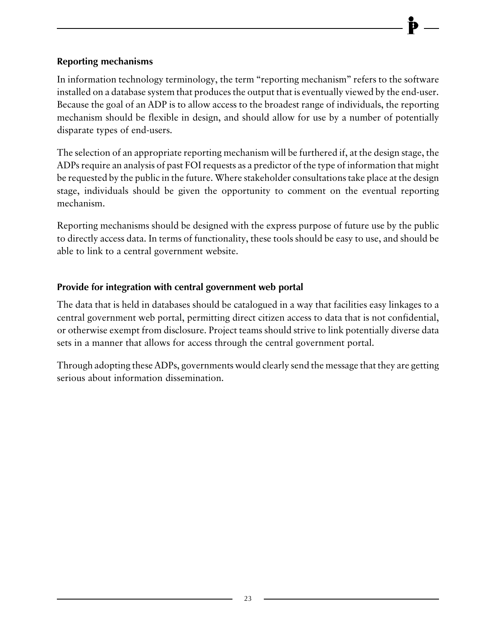#### <span id="page-25-0"></span>**Reporting mechanisms**

In information technology terminology, the term "reporting mechanism" refers to the software installed on a database system that produces the output that is eventually viewed by the end-user. Because the goal of an ADP is to allow access to the broadest range of individuals, the reporting mechanism should be flexible in design, and should allow for use by a number of potentially disparate types of end-users.

The selection of an appropriate reporting mechanism will be furthered if, at the design stage, the ADPs require an analysis of past FOI requests as a predictor of the type of information that might be requested by the public in the future. Where stakeholder consultations take place at the design stage, individuals should be given the opportunity to comment on the eventual reporting mechanism.

Reporting mechanisms should be designed with the express purpose of future use by the public to directly access data. In terms of functionality, these tools should be easy to use, and should be able to link to a central government website.

#### **Provide for integration with central government web portal**

The data that is held in databases should be catalogued in a way that facilities easy linkages to a central government web portal, permitting direct citizen access to data that is not confidential, or otherwise exempt from disclosure. Project teams should strive to link potentially diverse data sets in a manner that allows for access through the central government portal.

Through adopting these ADPs, governments would clearly send the message that they are getting serious about information dissemination.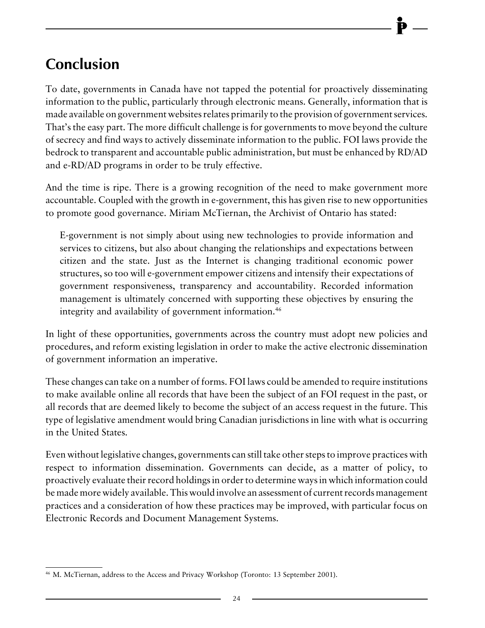# <span id="page-26-0"></span>**Conclusion**

To date, governments in Canada have not tapped the potential for proactively disseminating information to the public, particularly through electronic means. Generally, information that is made available on government websites relates primarily to the provision of government services. That's the easy part. The more difficult challenge is for governments to move beyond the culture of secrecy and find ways to actively disseminate information to the public. FOI laws provide the bedrock to transparent and accountable public administration, but must be enhanced by RD/AD and e-RD/AD programs in order to be truly effective.

And the time is ripe. There is a growing recognition of the need to make government more accountable. Coupled with the growth in e-government, this has given rise to new opportunities to promote good governance. Miriam McTiernan, the Archivist of Ontario has stated:

E-government is not simply about using new technologies to provide information and services to citizens, but also about changing the relationships and expectations between citizen and the state. Just as the Internet is changing traditional economic power structures, so too will e-government empower citizens and intensify their expectations of government responsiveness, transparency and accountability. Recorded information management is ultimately concerned with supporting these objectives by ensuring the integrity and availability of government information.46

In light of these opportunities, governments across the country must adopt new policies and procedures, and reform existing legislation in order to make the active electronic dissemination of government information an imperative.

These changes can take on a number of forms. FOI laws could be amended to require institutions to make available online all records that have been the subject of an FOI request in the past, or all records that are deemed likely to become the subject of an access request in the future. This type of legislative amendment would bring Canadian jurisdictions in line with what is occurring in the United States.

Even without legislative changes, governments can still take other steps to improve practices with respect to information dissemination. Governments can decide, as a matter of policy, to proactively evaluate their record holdings in order to determine ways in which information could be made more widely available. This would involve an assessment of current records management practices and a consideration of how these practices may be improved, with particular focus on Electronic Records and Document Management Systems.

<sup>46</sup> M. McTiernan, address to the Access and Privacy Workshop (Toronto: 13 September 2001).